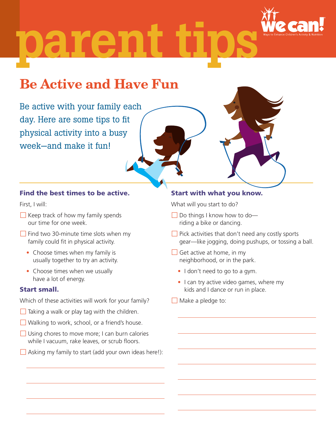

# parent

## Be Active and Have Fun

Be active with your family each day. Here are some tips to fit physical activity into a busy week—and make it fun!

#### Find the best times to be active.

First, I will:

- $\Box$  Keep track of how my family spends our time for one week.
- $\Box$  Find two 30-minute time slots when my family could fit in physical activity.
	- Choose times when my family is usually together to try an activity.
	- Choose times when we usually have a lot of energy.

#### Start small.

Which of these activities will work for your family?

- $\Box$  Taking a walk or play tag with the children.
- Walking to work, school, or a friend's house.
- $\Box$  Using chores to move more; I can burn calories while I vacuum, rake leaves, or scrub floors.
- $\Box$  Asking my family to start (add your own ideas here!):

#### Start with what you know.

What will you start to do?

- $\Box$  Do things I know how to doriding a bike or dancing.
- $\Box$  Pick activities that don't need any costly sports gear—like jogging, doing pushups, or tossing a ball.
- $\Box$  Get active at home, in my neighborhood, or in the park.
	- I don't need to go to a gym.
	- I can try active video games, where my kids and I dance or run in place.
- $\Box$  Make a pledge to: